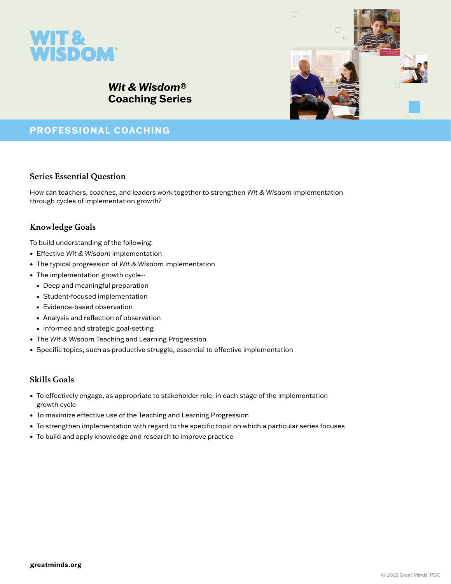

# *Wit & Wisdom***® Coaching Series**

## **PROFESSIONAL COACHING**

### **Series Essential Question**

How can teachers, coaches, and leaders work together to strengthen *Wit & Wisdom* implementation through cycles of implementation growth?

## **Knowledge Goals**

To build understanding of the following:

- Effective *Wit & Wisdom* implementation
- The typical progression of *Wit & Wisdom* implementation
- The implementation growth cycle--
	- Deep and meaningful preparation
	- Student-focused implementation
	- Evidence-based observation
	- Analysis and reflection of observation
	- Informed and strategic goal-setting
- The *Wit & Wisdom* Teaching and Learning Progression
- Specific topics, such as productive struggle, essential to effective implementation

#### **Skills Goals**

- To effectively engage, as appropriate to stakeholder role, in each stage of the implementation growth cycle
- To maximize effective use of the Teaching and Learning Progression
- To strengthen implementation with regard to the specific topic on which a particular series focuses
- To build and apply knowledge and research to improve practice